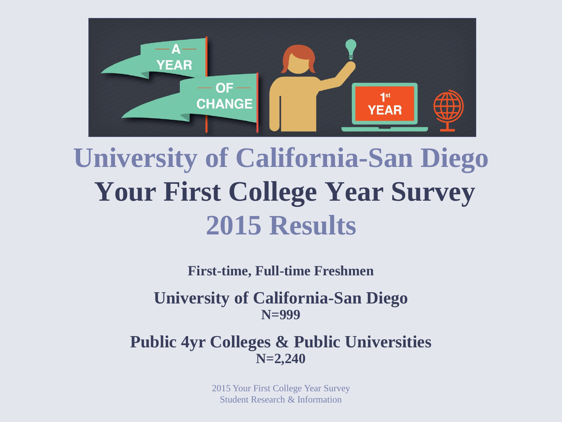

# **University of California-San Diego Your First College Year Survey 2015 Results**

**First-time, Full-time Freshmen**

**University of California-San Diego N=999**

**Public 4yr Colleges & Public Universities N=2,240**

> 2015 Your First College Year Survey Student Research & Information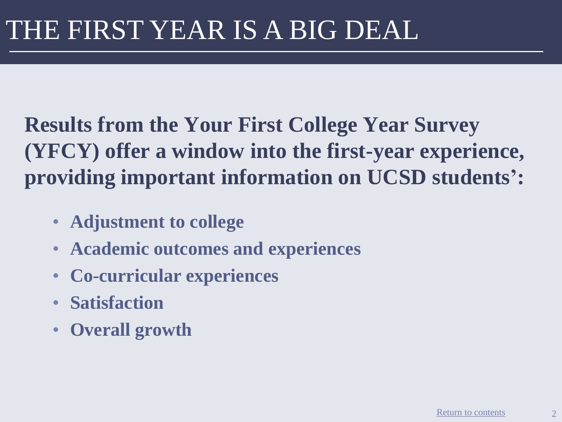**Results from the Your First College Year Survey (YFCY) offer a window into the first-year experience, providing important information on UCSD students':**

- **Adjustment to college**
- **Academic outcomes and experiences**
- **Co-curricular experiences**
- **Satisfaction**
- **Overall growth**

2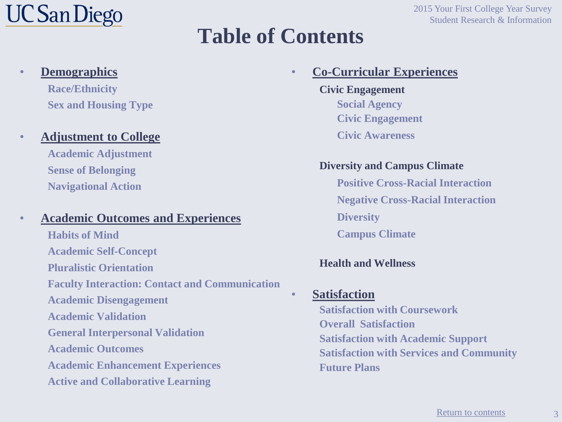# **UC San Diego**

#### 2015 Your First College Year Survey Student Research & Information

### **Table of Contents**

#### • **Co-Curricular Experiences**

**Civic Engagement Social Agency Civic Engagement Civic Awareness**

#### **Diversity and Campus Climate**

**Positive Cross-Racial Interaction Negative Cross-Racial Interaction Diversity Campus Climate**

#### **Health and Wellness**

#### • **Satisfaction**

**Satisfaction with Coursework Overall Satisfaction Satisfaction with Academic Support Satisfaction with Services and Community Future Plans**

#### • **Demographics**

**Race/Ethnicity Sex and Housing Type**

#### • **Adjustment to College**

**Academic Adjustment Sense of Belonging Navigational Action**

#### • **Academic Outcomes and Experiences**

<span id="page-2-0"></span>**Habits of Mind Academic Self-Concept Pluralistic Orientation Faculty Interaction: Contact and Communication Academic Disengagement Academic Validation General Interpersonal Validation Academic Outcomes Academic Enhancement Experiences Active and Collaborative Learning**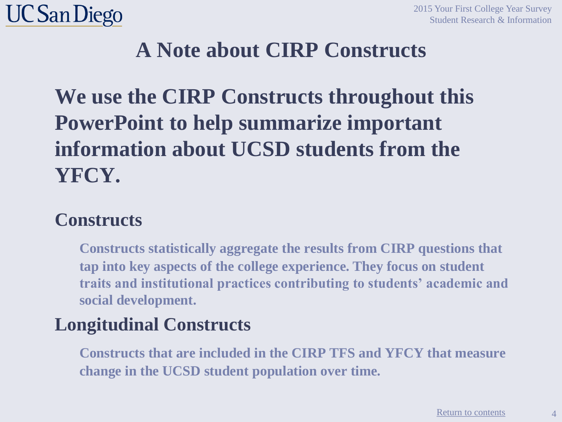

#### **A Note about CIRP Constructs**

### **We use the CIRP Constructs throughout this PowerPoint to help summarize important information about UCSD students from the YFCY.**

#### **Constructs**

**Constructs statistically aggregate the results from CIRP questions that tap into key aspects of the college experience. They focus on student traits and institutional practices contributing to students' academic and social development.**

#### **Longitudinal Constructs**

**Constructs that are included in the CIRP TFS and YFCY that measure change in the UCSD student population over time.**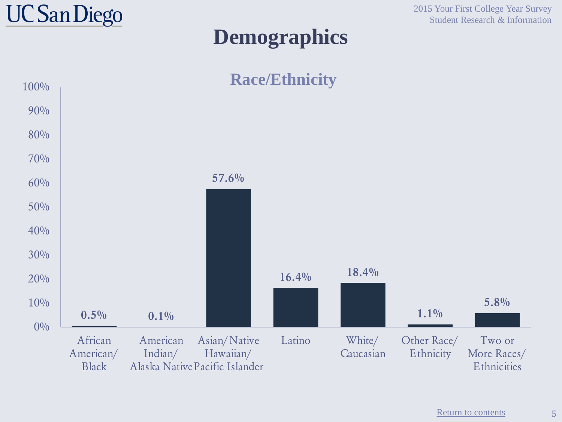

### **Demographics**

2015 Your First College Year Survey Student Research & Information



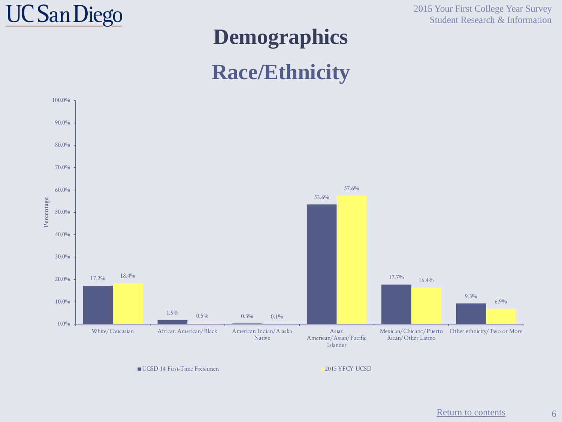

2015 Your First College Year Survey Student Research & Information

#### **Demographics**

#### **Race/Ethnicity**



UCSD 14 First-Time Freshmen 2015 YFCY UCSD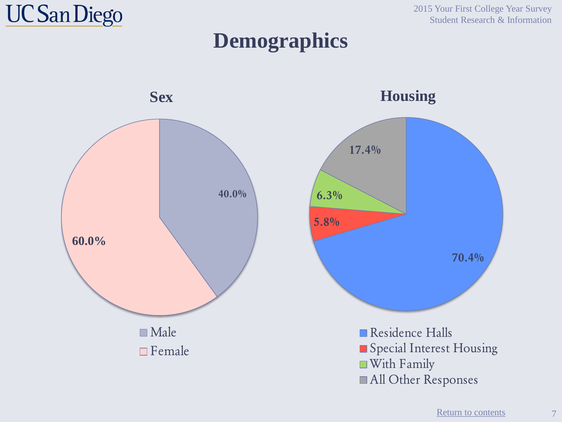

2015 Your First College Year Survey Student Research & Information

#### **Demographics**

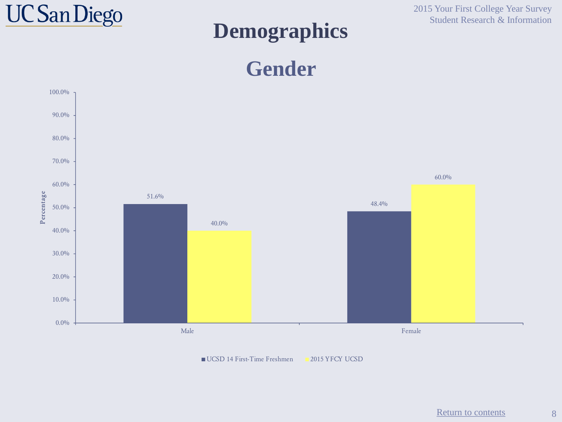

#### **Demographics**

2015 Your First College Year Survey Student Research & Information





UCSD 14 First-Time Freshmen 2015 YFCY UCSD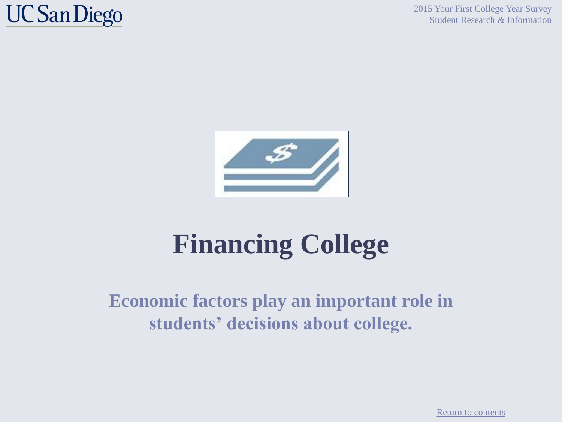

2015 Your First College Year Survey Student Research & Information



# **Financing College**

#### **Economic factors play an important role in students' decisions about college.**

[Return to contents](#page-2-0)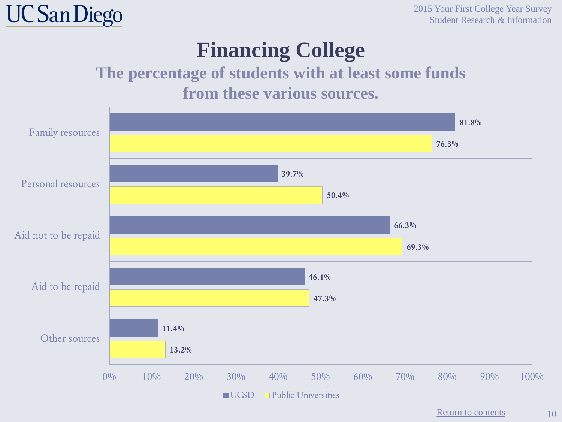

#### **Financing College**

#### **The percentage of students with at least some funds from these various sources.**

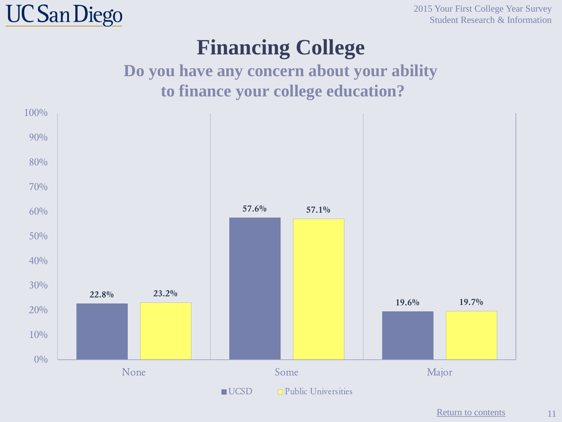

2015 Your First College Year Survey Student Research & Information

#### **Financing College**

#### **Do you have any concern about your ability to finance your college education?**



[Return to contents](#page-2-0)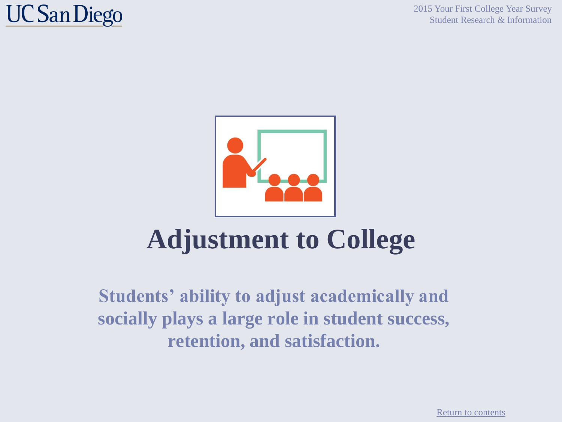

2015 Your First College Year Survey Student Research & Information



# **Adjustment to College**

**Students' ability to adjust academically and socially plays a large role in student success, retention, and satisfaction.**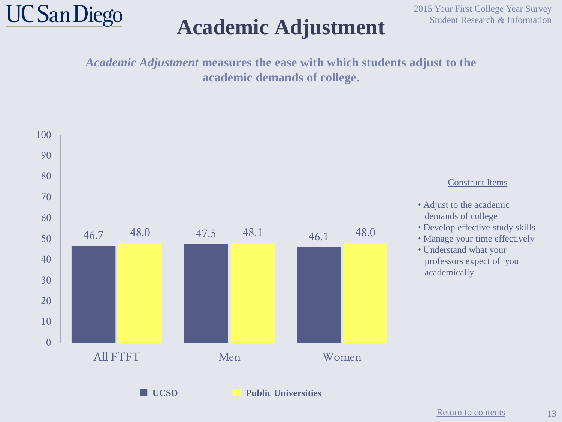

#### Academic Adjustment Student Research & Information

2015 Your First College Year Survey

*Academic Adjustment* **measures the ease with which students adjust to the academic demands of college.**

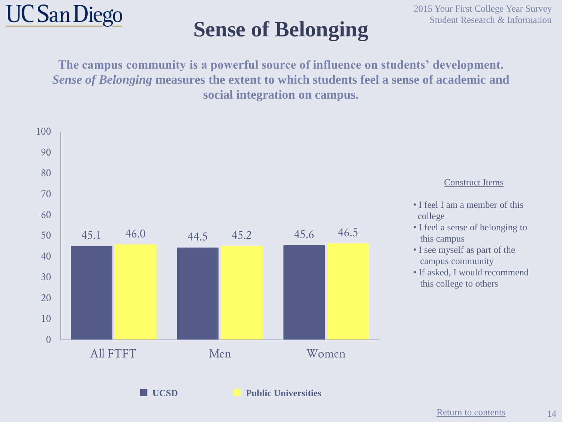

## Student Research & Information **Student Research & Information**

**The campus community is a powerful source of influence on students' development.**  *Sense of Belonging* **measures the extent to which students feel a sense of academic and social integration on campus.**

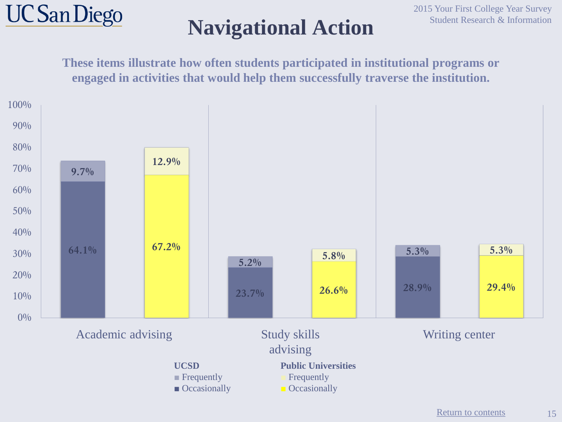

### **Navigational Action**

**These items illustrate how often students participated in institutional programs or engaged in activities that would help them successfully traverse the institution.**



15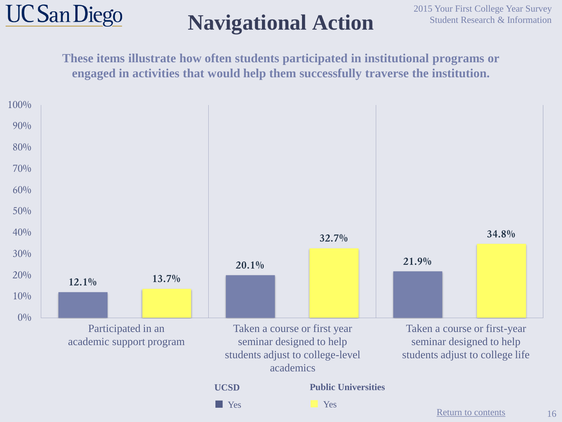

## **Navigational Action**

**These items illustrate how often students participated in institutional programs or engaged in activities that would help them successfully traverse the institution.**

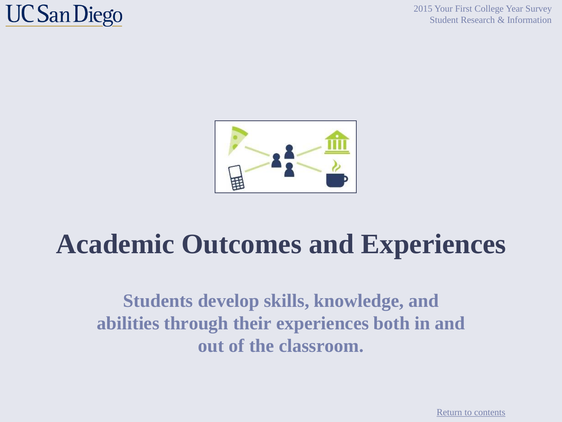

2015 Your First College Year Survey Student Research & Information



# **Academic Outcomes and Experiences**

**Students develop skills, knowledge, and abilities through their experiences both in and out of the classroom.**

[Return to contents](#page-2-0)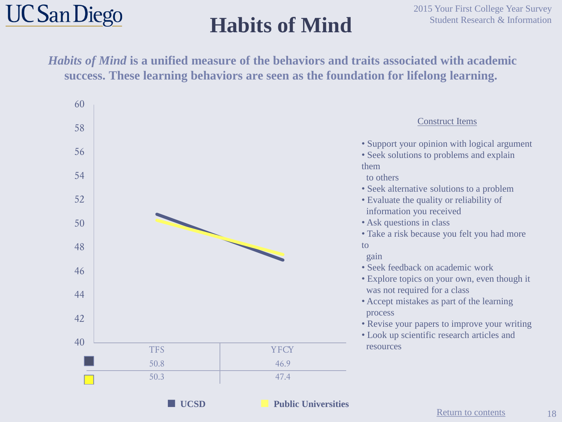

## **Habits of Mind**

*Habits of Mind* **is a unified measure of the behaviors and traits associated with academic success. These learning behaviors are seen as the foundation for lifelong learning.**





**■ UCSD ■ Public Universities**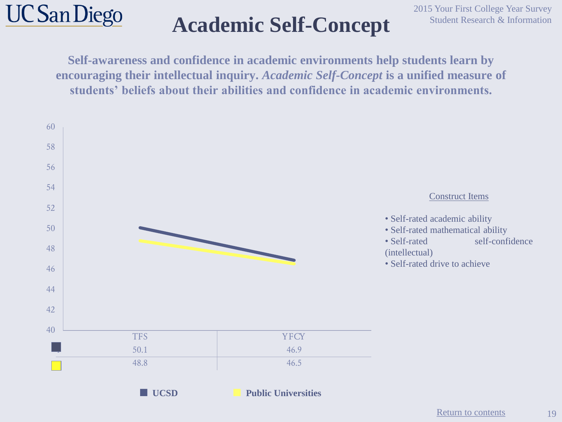

## **Academic Self-Concept**

**Self-awareness and confidence in academic environments help students learn by encouraging their intellectual inquiry.** *Academic Self-Concept* **is a unified measure of students' beliefs about their abilities and confidence in academic environments.**

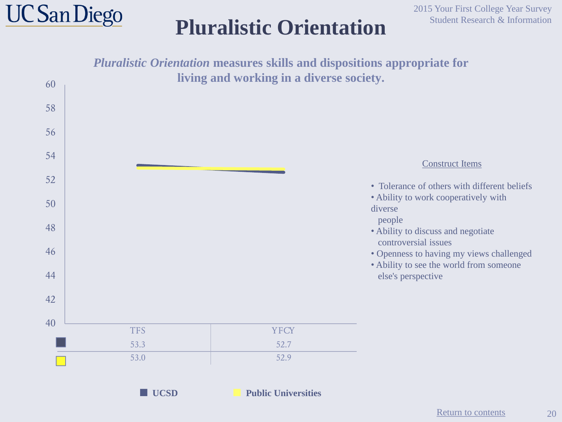

### **Pluralistic Orientation**

2015 Your First College Year Survey Student Research & Information

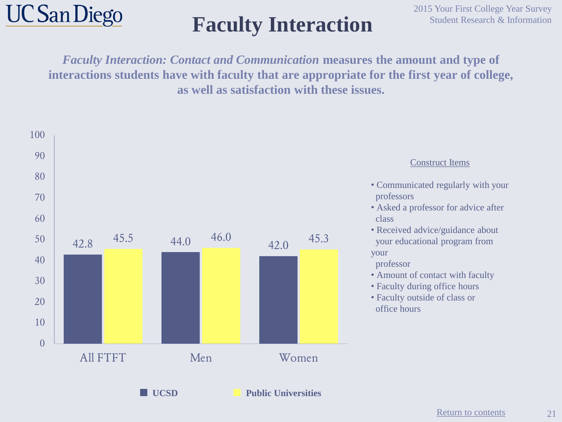

## **Faculty Interaction** Student Research & Information

*Faculty Interaction: Contact and Communication* **measures the amount and type of interactions students have with faculty that are appropriate for the first year of college, as well as satisfaction with these issues.**



21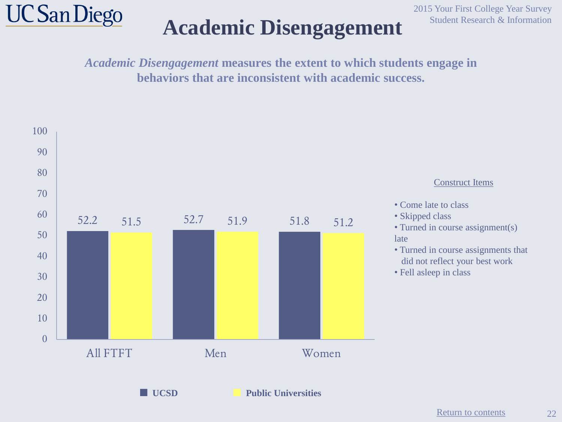

### Academic Disengagement Student Research & Information

2015 Your First College Year Survey

*Academic Disengagement* **measures the extent to which students engage in behaviors that are inconsistent with academic success.** 



22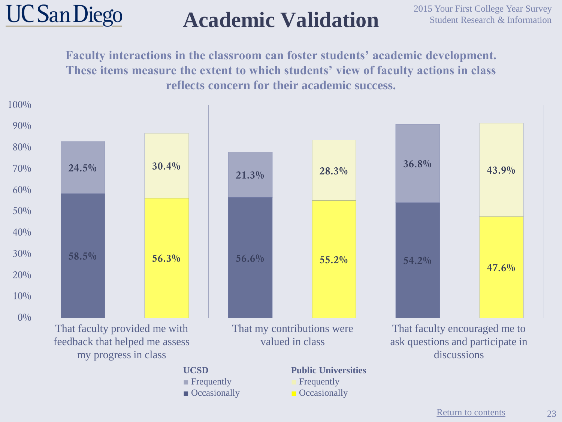

### **Academic Validation**

**Faculty interactions in the classroom can foster students' academic development. These items measure the extent to which students' view of faculty actions in class reflects concern for their academic success.**

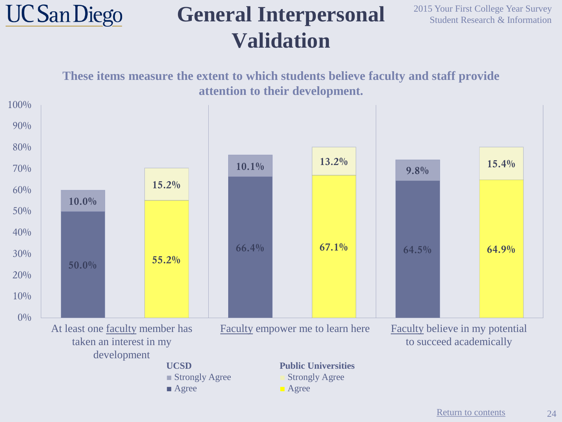

#### **General Interpersonal Validation**

2015 Your First College Year Survey Student Research & Information



[Return to contents](#page-2-0)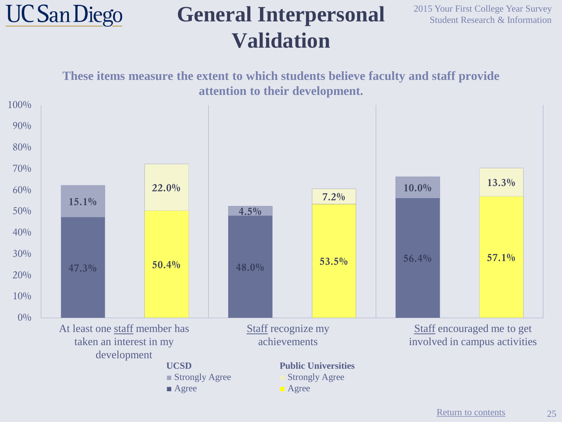![](_page_24_Picture_0.jpeg)

#### **General Interpersonal Validation**

2015 Your First College Year Survey Student Research & Information

![](_page_24_Figure_3.jpeg)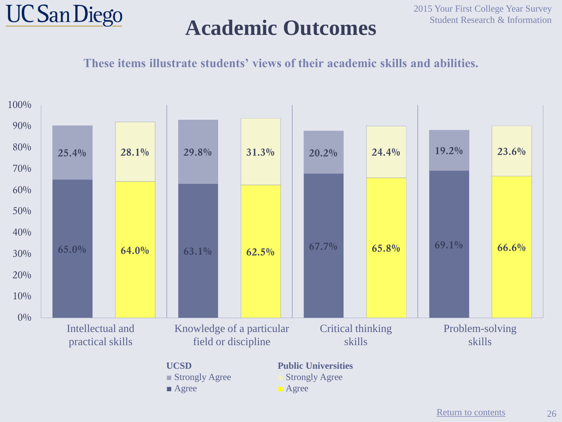![](_page_25_Picture_0.jpeg)

#### **Academic Outcomes**

**These items illustrate students' views of their academic skills and abilities.**

![](_page_25_Figure_4.jpeg)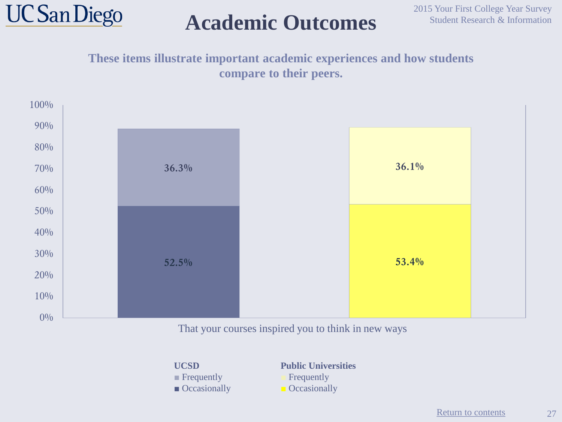![](_page_26_Picture_0.jpeg)

### **Academic Outcomes**

#### **These items illustrate important academic experiences and how students compare to their peers.**

![](_page_26_Figure_4.jpeg)

#### That your courses inspired you to think in new ways

**UCSD**

- **■** Frequently
- Occasionally

**Public Universities ■** Frequently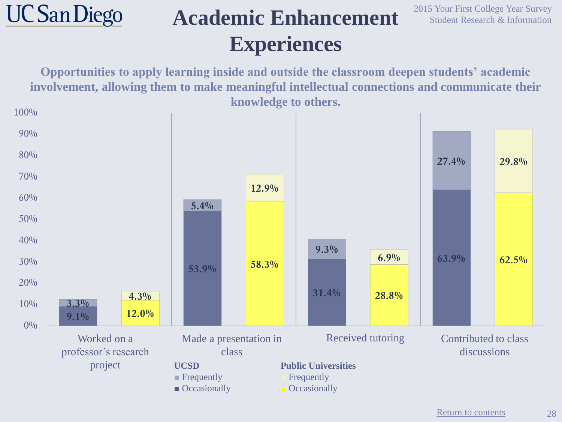#### **UC San Diego Academic Enhancement Experiences**

2015 Your First College Year Survey Student Research & Information

**Opportunities to apply learning inside and outside the classroom deepen students' academic involvement, allowing them to make meaningful intellectual connections and communicate their knowledge to others.**

![](_page_27_Figure_3.jpeg)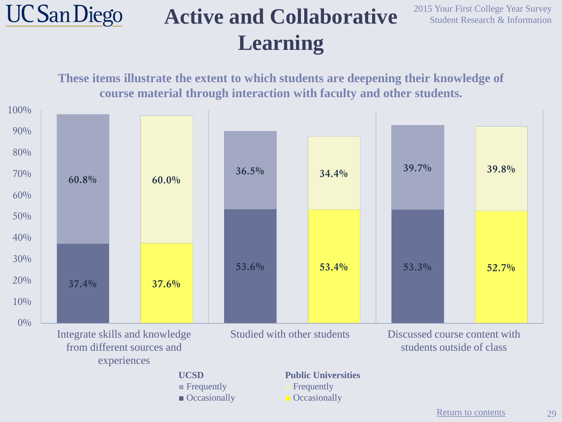#### **UC San Diego Active and Collaborative Learning**

2015 Your First College Year Survey Student Research & Information

![](_page_28_Figure_2.jpeg)

[Return to contents](#page-2-0)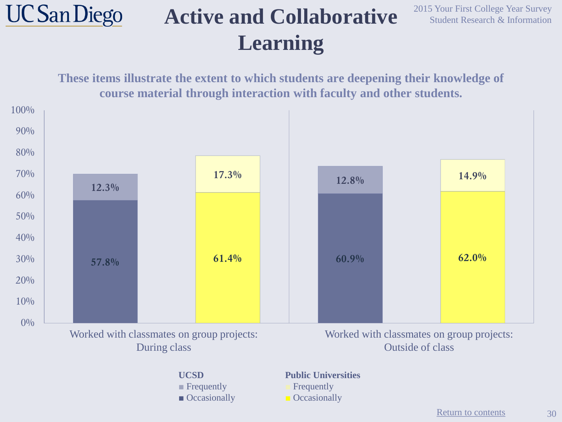#### **UC San Diego Active and Collaborative Learning**

2015 Your First College Year Survey Student Research & Information

**These items illustrate the extent to which students are deepening their knowledge of course material through interaction with faculty and other students. 57.8% 61.4% 60.9% 62.0% 12.3% 17.3% 12.8% 14.9%**  $0\%$  $10\%$ 20% 30% 40% 50% 60% 70% 80% 90% 100% Worked with classmates on group projects: During class Worked with classmates on group projects: Outside of class

> **UCSD ■** Frequently ■ Occasionally

#### **Public Universities**

**Frequently**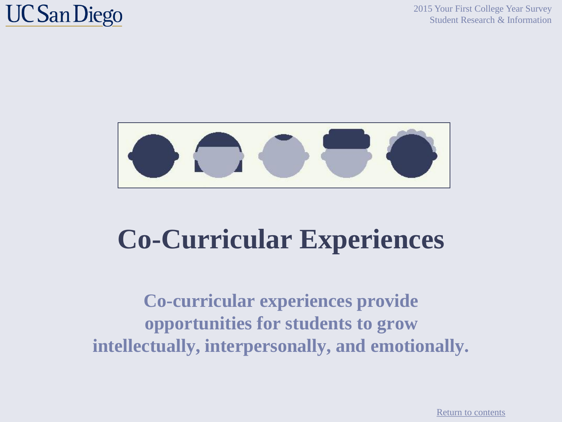2015 Your First College Year Survey Student Research & Information

### **UC San Diego**

![](_page_30_Picture_2.jpeg)

# **Co-Curricular Experiences**

**Co-curricular experiences provide opportunities for students to grow intellectually, interpersonally, and emotionally.**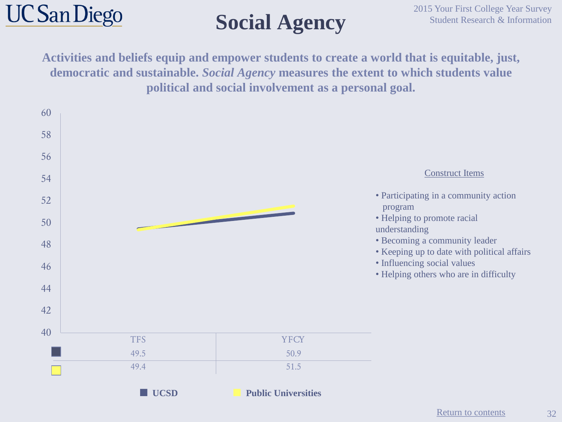![](_page_31_Picture_0.jpeg)

## **Social Agency**

**Activities and beliefs equip and empower students to create a world that is equitable, just, democratic and sustainable.** *Social Agency* **measures the extent to which students value political and social involvement as a personal goal.**

![](_page_31_Figure_4.jpeg)

32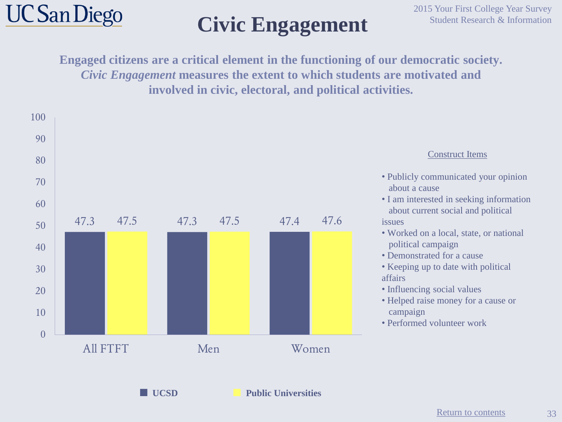![](_page_32_Picture_0.jpeg)

# Civic Engagement Student Research & Information

**Engaged citizens are a critical element in the functioning of our democratic society.**  *Civic Engagement* **measures the extent to which students are motivated and involved in civic, electoral, and political activities.**

![](_page_32_Figure_4.jpeg)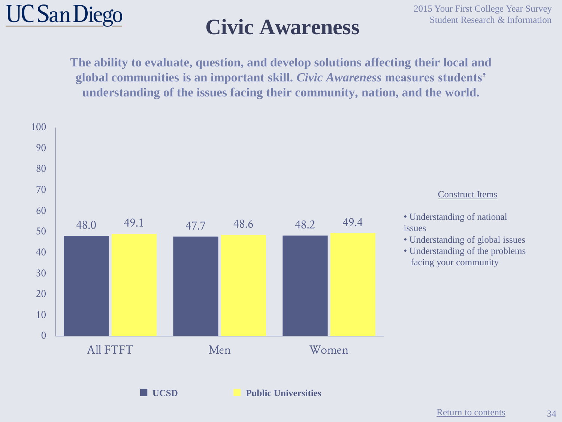![](_page_33_Picture_0.jpeg)

#### Civic Awareness Student Research & Information

**The ability to evaluate, question, and develop solutions affecting their local and global communities is an important skill.** *Civic Awareness* **measures students' understanding of the issues facing their community, nation, and the world.**

![](_page_33_Figure_4.jpeg)

34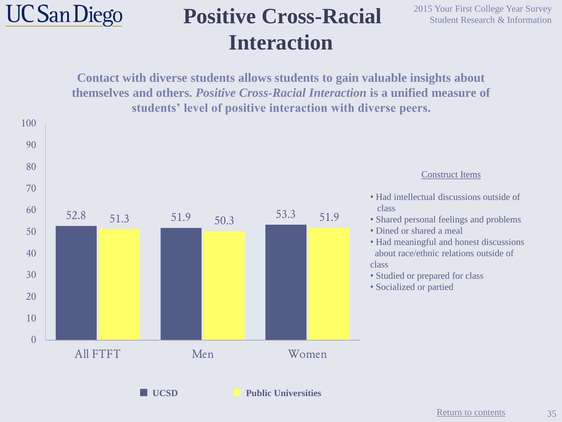![](_page_34_Picture_0.jpeg)

100

### **Positive Cross-Racial** <sup>2015 Your First College Year Survey</sup> Student Research & Information **Interaction**

**Contact with diverse students allows students to gain valuable insights about themselves and others.** *Positive Cross-Racial Interaction* **is a unified measure of students' level of positive interaction with diverse peers.**

![](_page_34_Figure_4.jpeg)

35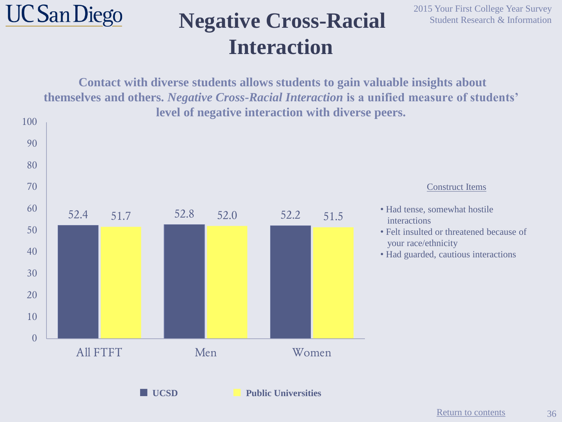![](_page_35_Picture_0.jpeg)

#### **Negative Cross-Racial Student Research & Information Interaction**

2015 Your First College Year Survey

**Contact with diverse students allows students to gain valuable insights about themselves and others.** *Negative Cross-Racial Interaction* **is a unified measure of students' level of negative interaction with diverse peers.**

![](_page_35_Figure_4.jpeg)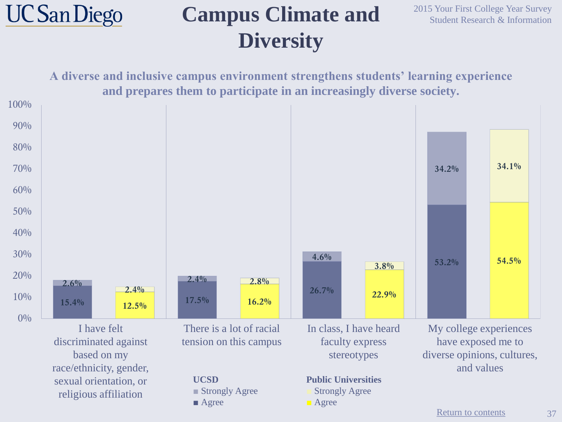![](_page_36_Picture_0.jpeg)

### **Campus Climate and Diversity**

2015 Your First College Year Survey Student Research & Information

**A diverse and inclusive campus environment strengthens students' learning experience and prepares them to participate in an increasingly diverse society.** 

![](_page_36_Figure_4.jpeg)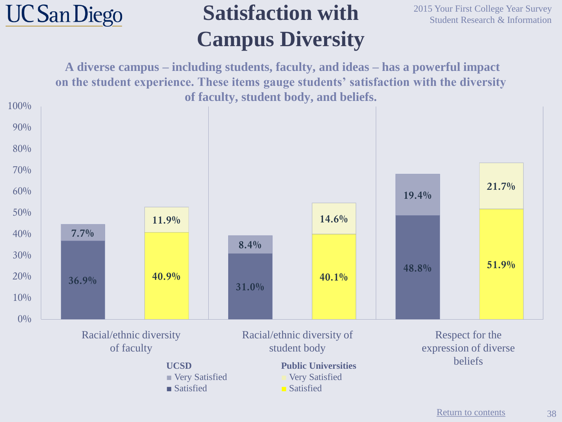![](_page_37_Picture_0.jpeg)

### **Satisfaction with Campus Diversity**

2015 Your First College Year Survey Student Research & Information

**A diverse campus – including students, faculty, and ideas – has a powerful impact on the student experience. These items gauge students' satisfaction with the diversity of faculty, student body, and beliefs.** 

![](_page_37_Figure_4.jpeg)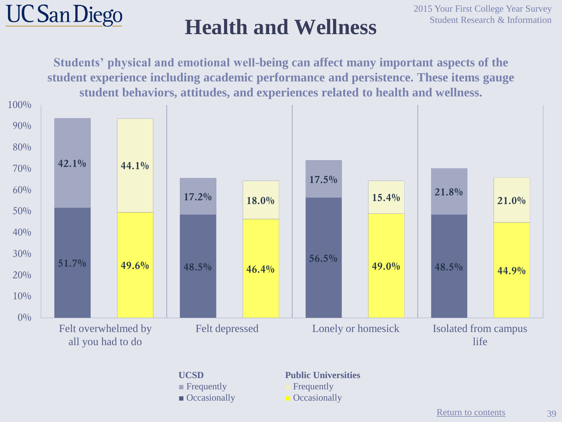![](_page_38_Picture_0.jpeg)

![](_page_38_Figure_3.jpeg)

**UCSD ■** Frequently ■ Occasionally **Public Universities**

**■** Frequently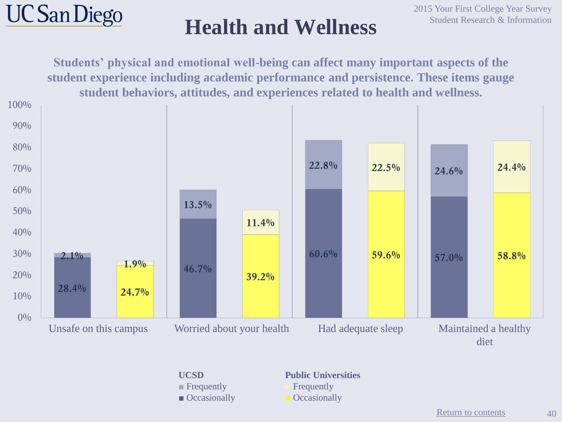![](_page_39_Picture_0.jpeg)

![](_page_39_Figure_3.jpeg)

**UCSD ■** Frequently ■ Occasionally

**Public Universities**

**■** Frequently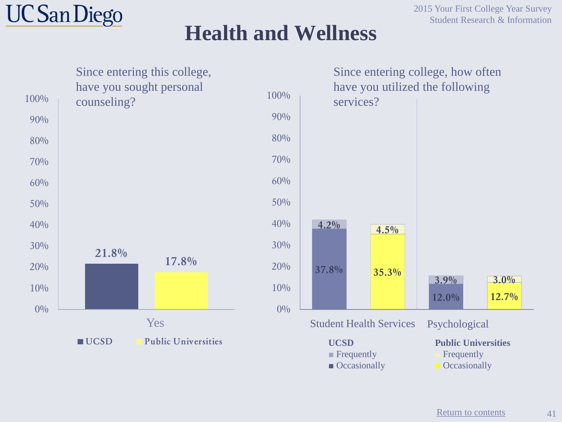![](_page_40_Picture_0.jpeg)

![](_page_40_Figure_3.jpeg)

■ Occasionally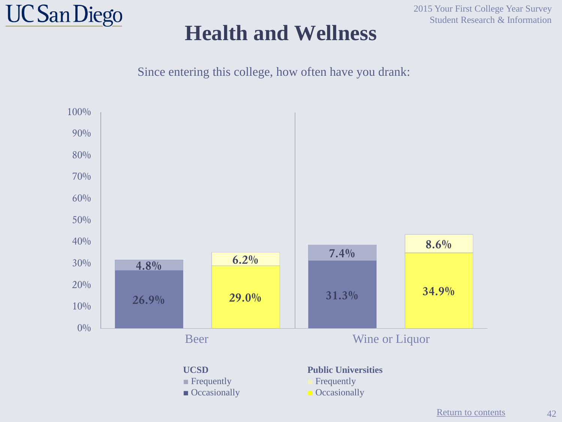![](_page_41_Picture_0.jpeg)

2015 Your First College Year Survey Student Research & Information

Since entering this college, how often have you drank:

![](_page_41_Figure_4.jpeg)

42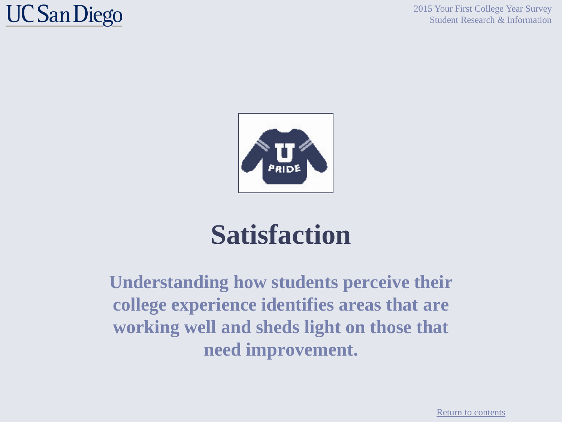![](_page_42_Picture_0.jpeg)

2015 Your First College Year Survey Student Research & Information

![](_page_42_Picture_2.jpeg)

# **Satisfaction**

**Understanding how students perceive their college experience identifies areas that are working well and sheds light on those that need improvement.**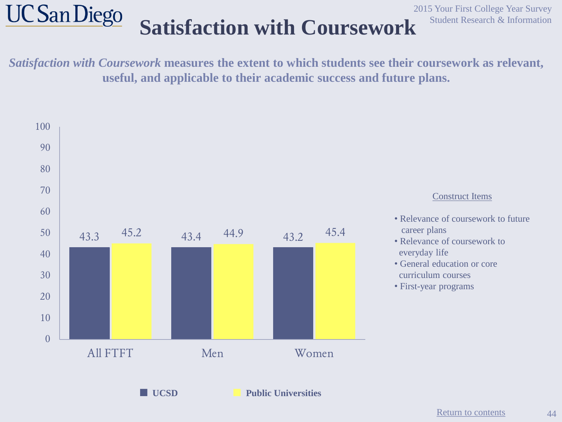#### **UC San Diego Satisfaction with Coursework** Student Research & Information

2015 Your First College Year Survey

*Satisfaction with Coursework* **measures the extent to which students see their coursework as relevant, useful, and applicable to their academic success and future plans.**

![](_page_43_Figure_3.jpeg)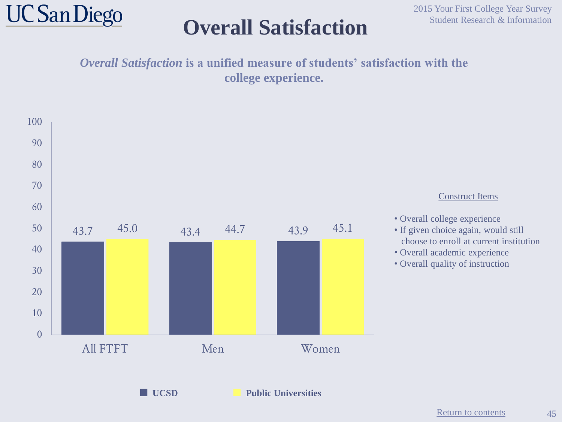![](_page_44_Picture_0.jpeg)

### **Overall Satisfaction** Student Research & Information

*Overall Satisfaction* **is a unified measure of students' satisfaction with the college experience.**

![](_page_44_Figure_4.jpeg)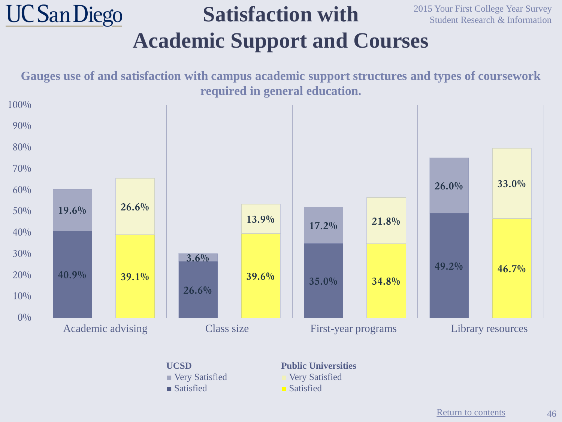#### **UC San Diego** 2015 Your First College Year Survey **Satisfaction with**  Student Research & Information **Academic Support and Courses**

**Gauges use of and satisfaction with campus academic support structures and types of coursework required in general education. 40.9% 39.1% 26.6% 39.6% 35.0% 34.8% 49.2% 46.7% 19.6% 26.6% 3.6% 13.9% 17.2% 21.8% 26.0% 33.0%**  $0\%$  $10\%$ 20% 30% 40% 50% 60% 70% 80% 90% 100% Academic advising Class size First-year programs Library resources

> **UCSD ■** Very Satisfied **■** Satisfied

**Public Universities ■** Very Satisfied ■ Satisfied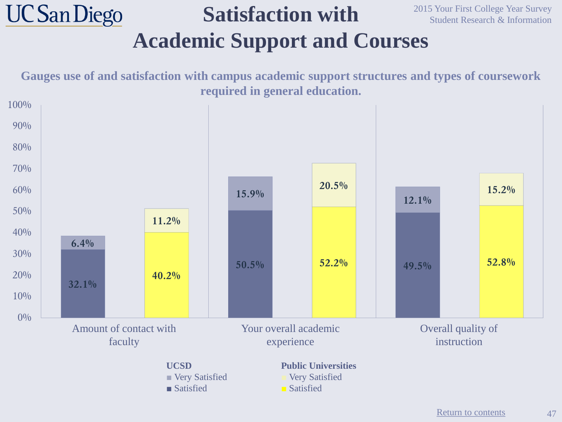#### **UC San Diego** 2015 Your First College Year Survey **Satisfaction with**  Student Research & Information **Academic Support and Courses**

**Gauges use of and satisfaction with campus academic support structures and types of coursework required in general education. 32.1% 40.2% 50.5% 52.2% 49.5% 52.8% 6.4% 11.2% 15.9% 20.5% 12.1% 15.2%**  $0\%$  $10%$ 20% 30% 40% 50% 60% 70% 80% 90% 100% Amount of contact with faculty Your overall academic experience Overall quality of instruction **UCSD ■** Very Satisfied **■** Satisfied **Public Universities ■** Very Satisfied ■ Satisfied

47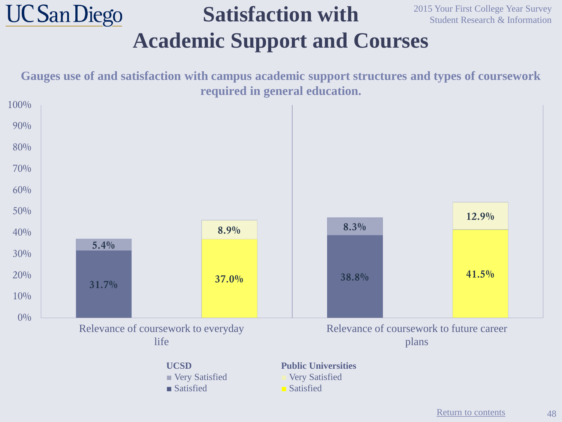#### **UC San Diego Satisfaction with Academic Support and Courses**

2015 Your First College Year Survey Student Research & Information

**Gauges use of and satisfaction with campus academic support structures and types of coursework required in general education.**

![](_page_47_Figure_3.jpeg)

[Return to contents](#page-2-0)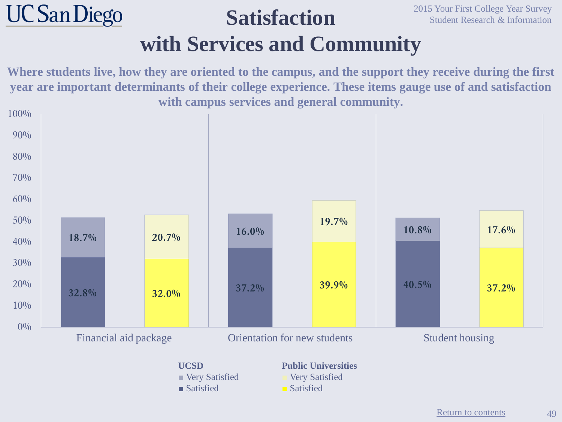#### **UC San Diego Satisfaction with Services and Community**

2015 Your First College Year Survey Student Research & Information

**Where students live, how they are oriented to the campus, and the support they receive during the first year are important determinants of their college experience. These items gauge use of and satisfaction with campus services and general community.**

![](_page_48_Figure_3.jpeg)

**■** Satisfied

■ Satisfied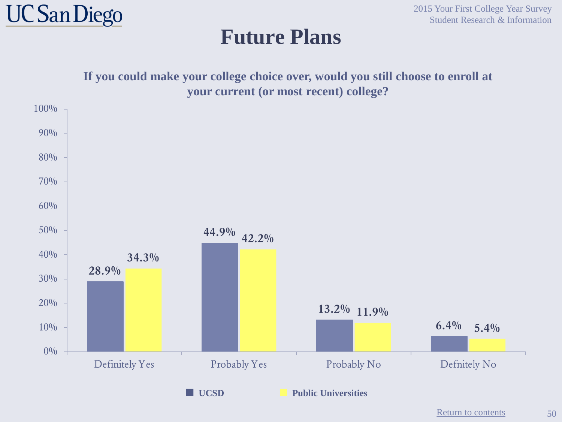![](_page_49_Picture_0.jpeg)

**Future Plans**

2015 Your First College Year Survey Student Research & Information

![](_page_49_Figure_3.jpeg)

[Return to contents](#page-2-0)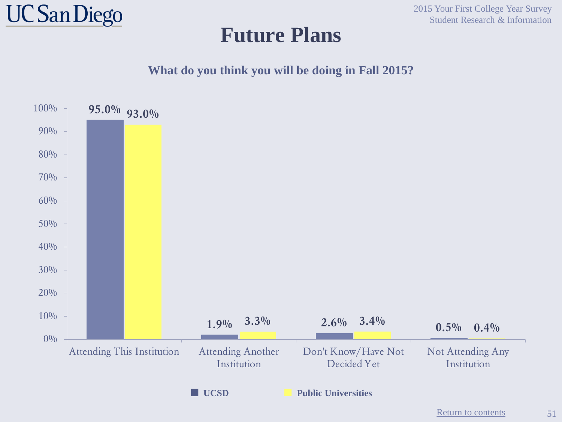![](_page_50_Picture_0.jpeg)

#### **Future Plans**

2015 Your First College Year Survey Student Research & Information

**What do you think you will be doing in Fall 2015?**

![](_page_50_Figure_4.jpeg)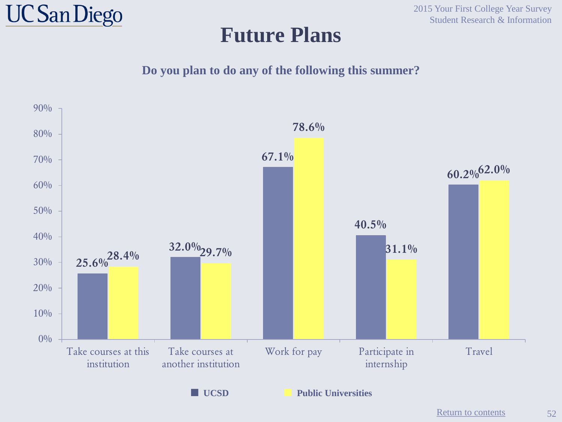![](_page_51_Picture_0.jpeg)

#### **Future Plans**

2015 Your First College Year Survey Student Research & Information

**Do you plan to do any of the following this summer?**

![](_page_51_Figure_4.jpeg)